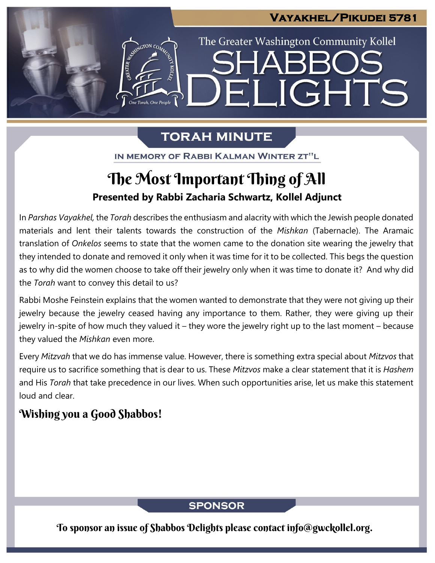## **Vayakhel/Pikudei 5781**

IGHTS

The Greater Washington Community Kollel

# **TORAH MINUTE**

FI

IN MEMORY OF RABBI KALMAN WINTER ZT"L

# **Presented by Rabbi Zacharia Schwartz, Kollel Adjunct** The Most Important Thing of All

In *Parshas Vayakhel,* the *Torah* describes the enthusiasm and alacrity with which the Jewish people donated materials and lent their talents towards the construction of the *Mishkan* (Tabernacle). The Aramaic translation of *Onkelos* seems to state that the women came to the donation site wearing the jewelry that they intended to donate and removed it only when it was time for it to be collected. This begs the question as to why did the women choose to take off their jewelry only when it was time to donate it? And why did the *Torah* want to convey this detail to us?

Rabbi Moshe Feinstein explains that the women wanted to demonstrate that they were not giving up their jewelry because the jewelry ceased having any importance to them. Rather, they were giving up their jewelry in-spite of how much they valued it – they wore the jewelry right up to the last moment – because they valued the *Mishkan* even more.

Every *Mitzvah* that we do has immense value. However, there is something extra special about *Mitzvos* that require us to sacrifice something that is dear to us. These *Mitzvos* make a clear statement that it is *Hashem* and His *Torah* that take precedence in our lives. When such opportunities arise, let us make this statement loud and clear.

# Wishing you a Good Shabbos!

### **SPONSOR**

To sponsor an issue of Shabbos Delights please contact info@gwckollel.org.